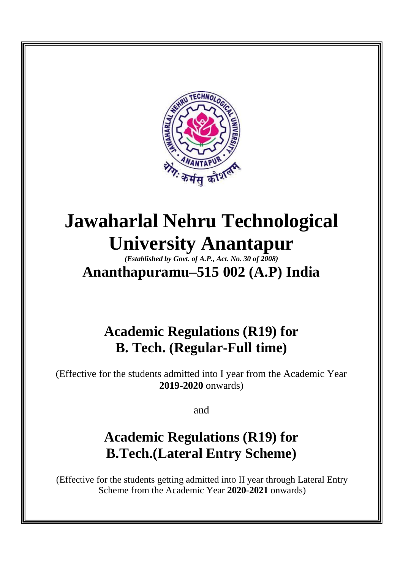

# **Jawaharlal Nehru Technological University Anantapur**

*(Established by Govt. of A.P., Act. No. 30 of 2008)* **Ananthapuramu–515 002 (A.P) India**

### **Academic Regulations (R19) for B. Tech. (Regular-Full time)**

(Effective for the students admitted into I year from the Academic Year **2019-2020** onwards)

and

## **Academic Regulations (R19) for B.Tech.(Lateral Entry Scheme)**

(Effective for the students getting admitted into II year through Lateral Entry Scheme from the Academic Year **2020-2021** onwards)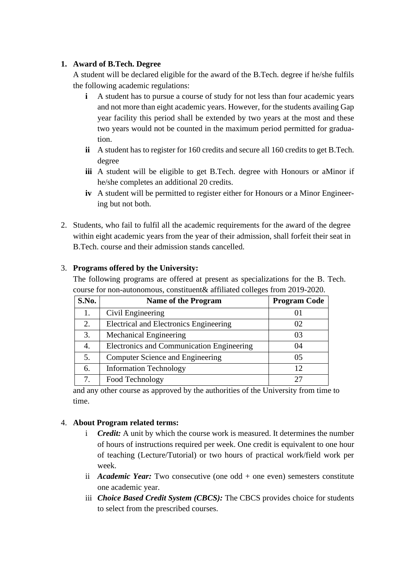#### **1. Award of B.Tech. Degree**

A student will be declared eligible for the award of the B.Tech. degree if he/she fulfils the following academic regulations:

- **i** A student has to pursue a course of study for not less than four academic years and not more than eight academic years. However, for the students availing Gap year facility this period shall be extended by two years at the most and these two years would not be counted in the maximum period permitted for graduation.
- **ii** A student has to register for 160 credits and secure all 160 credits to get B.Tech. degree
- **iii** A student will be eligible to get B.Tech. degree with Honours or aMinor if he/she completes an additional 20 credits.
- **iv** A student will be permitted to register either for Honours or a Minor Engineering but not both.
- 2. Students, who fail to fulfil all the academic requirements for the award of the degree within eight academic years from the year of their admission, shall forfeit their seat in B.Tech. course and their admission stands cancelled.

## 3. **Programs offered by the University:**

The following programs are offered at present as specializations for the B. Tech. course for non-autonomous, constituent& affiliated colleges from 2019-2020.

| S.No. | <b>Name of the Program</b>                       | <b>Program Code</b> |
|-------|--------------------------------------------------|---------------------|
|       | Civil Engineering                                |                     |
| 2.    | <b>Electrical and Electronics Engineering</b>    | 02                  |
| 3.    | <b>Mechanical Engineering</b>                    | 03                  |
| 4.    | <b>Electronics and Communication Engineering</b> | 04                  |
| 5.    | Computer Science and Engineering                 | 05                  |
| 6.    | <b>Information Technology</b>                    | 12                  |
|       | Food Technology                                  |                     |

and any other course as approved by the authorities of the University from time to time.

#### 4. **About Program related terms:**

- i *Credit:* A unit by which the course work is measured. It determines the number of hours of instructions required per week. One credit is equivalent to one hour of teaching (Lecture/Tutorial) or two hours of practical work/field work per week.
- ii *Academic Year:* Two consecutive (one odd + one even) semesters constitute one academic year.
- iii *Choice Based Credit System (CBCS):* The CBCS provides choice for students to select from the prescribed courses.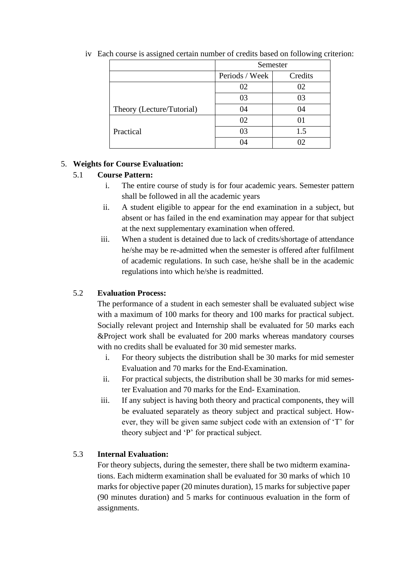|                           | Semester       |         |
|---------------------------|----------------|---------|
|                           | Periods / Week | Credits |
|                           | 02             | 02      |
|                           | 03             | 03      |
| Theory (Lecture/Tutorial) | 04             | 04      |
|                           | 02             | 01      |
| Practical                 | 03             | 1.5     |
|                           |                |         |

iv Each course is assigned certain number of credits based on following criterion:

#### 5. **Weights for Course Evaluation:**

#### 5.1 **Course Pattern:**

- i. The entire course of study is for four academic years. Semester pattern shall be followed in all the academic years
- ii. A student eligible to appear for the end examination in a subject, but absent or has failed in the end examination may appear for that subject at the next supplementary examination when offered.
- iii. When a student is detained due to lack of credits/shortage of attendance he/she may be re-admitted when the semester is offered after fulfilment of academic regulations. In such case, he/she shall be in the academic regulations into which he/she is readmitted.

#### 5.2 **Evaluation Process:**

The performance of a student in each semester shall be evaluated subject wise with a maximum of 100 marks for theory and 100 marks for practical subject. Socially relevant project and Internship shall be evaluated for 50 marks each &Project work shall be evaluated for 200 marks whereas mandatory courses with no credits shall be evaluated for 30 mid semester marks.

- i. For theory subjects the distribution shall be 30 marks for mid semester Evaluation and 70 marks for the End-Examination.
- ii. For practical subjects, the distribution shall be 30 marks for mid semester Evaluation and 70 marks for the End- Examination.
- iii. If any subject is having both theory and practical components, they will be evaluated separately as theory subject and practical subject. However, they will be given same subject code with an extension of 'T' for theory subject and 'P' for practical subject.

#### 5.3 **Internal Evaluation:**

For theory subjects, during the semester, there shall be two midterm examinations. Each midterm examination shall be evaluated for 30 marks of which 10 marks for objective paper (20 minutes duration), 15 marks for subjective paper (90 minutes duration) and 5 marks for continuous evaluation in the form of assignments.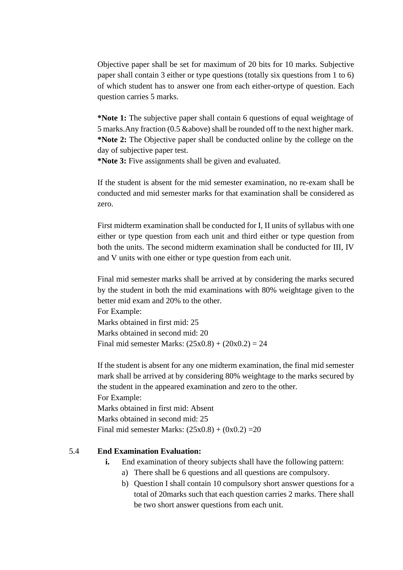Objective paper shall be set for maximum of 20 bits for 10 marks. Subjective paper shall contain 3 either or type questions (totally six questions from 1 to 6) of which student has to answer one from each either-ortype of question. Each question carries 5 marks.

**\*Note 1:** The subjective paper shall contain 6 questions of equal weightage of 5 marks.Any fraction (0.5 &above) shall be rounded off to the next higher mark. **\*Note 2:** The Objective paper shall be conducted online by the college on the day of subjective paper test.

**\*Note 3:** Five assignments shall be given and evaluated.

If the student is absent for the mid semester examination, no re-exam shall be conducted and mid semester marks for that examination shall be considered as zero.

First midterm examination shall be conducted for I, II units of syllabus with one either or type question from each unit and third either or type question from both the units. The second midterm examination shall be conducted for III, IV and V units with one either or type question from each unit.

Final mid semester marks shall be arrived at by considering the marks secured by the student in both the mid examinations with 80% weightage given to the better mid exam and 20% to the other.

For Example: Marks obtained in first mid: 25 Marks obtained in second mid: 20 Final mid semester Marks:  $(25x0.8) + (20x0.2) = 24$ 

If the student is absent for any one midterm examination, the final mid semester mark shall be arrived at by considering 80% weightage to the marks secured by the student in the appeared examination and zero to the other. For Example:

Marks obtained in first mid: Absent Marks obtained in second mid: 25 Final mid semester Marks:  $(25x0.8) + (0x0.2) = 20$ 

#### 5.4 **End Examination Evaluation:**

- **i.** End examination of theory subjects shall have the following pattern:
	- a) There shall be 6 questions and all questions are compulsory.
	- b) Question I shall contain 10 compulsory short answer questions for a total of 20marks such that each question carries 2 marks. There shall be two short answer questions from each unit.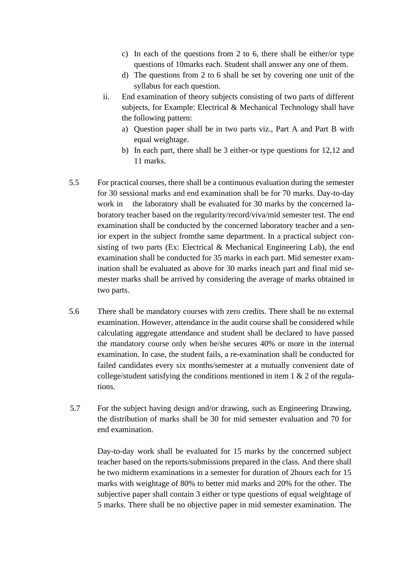- c) In each of the questions from 2 to 6, there shall be either/or type questions of 10marks each. Student shall answer any one of them.
- d) The questions from 2 to 6 shall be set by covering one unit of the syllabus for each question.
- ii. End examination of theory subjects consisting of two parts of different subjects, for Example: Electrical & Mechanical Technology shall have the following pattern:
	- a) Question paper shall be in two parts viz., Part A and Part B with equal weightage.
	- b) In each part, there shall be 3 either-or type questions for 12,12 and 11 marks.
- 5.5 For practical courses, there shall be a continuous evaluation during the semester for 30 sessional marks and end examination shall be for 70 marks. Day-to-day work in the laboratory shall be evaluated for 30 marks by the concerned laboratory teacher based on the regularity/record/viva/mid semester test. The end examination shall be conducted by the concerned laboratory teacher and a senior expert in the subject fromthe same department. In a practical subject consisting of two parts (Ex: Electrical & Mechanical Engineering Lab), the end examination shall be conducted for 35 marks in each part. Mid semester examination shall be evaluated as above for 30 marks ineach part and final mid semester marks shall be arrived by considering the average of marks obtained in two parts.
- 5.6 There shall be mandatory courses with zero credits. There shall be no external examination. However, attendance in the audit course shall be considered while calculating aggregate attendance and student shall be declared to have passed the mandatory course only when he/she secures 40% or more in the internal examination. In case, the student fails, a re-examination shall be conducted for failed candidates every six months/semester at a mutually convenient date of college/student satisfying the conditions mentioned in item  $1 \& 2$  of the regulations.
- 5.7 For the subject having design and/or drawing, such as Engineering Drawing, the distribution of marks shall be 30 for mid semester evaluation and 70 for end examination.

Day-to-day work shall be evaluated for 15 marks by the concerned subject teacher based on the reports/submissions prepared in the class. And there shall be two midterm examinations in a semester for duration of 2hours each for 15 marks with weightage of 80% to better mid marks and 20% for the other. The subjective paper shall contain 3 either or type questions of equal weightage of 5 marks. There shall be no objective paper in mid semester examination. The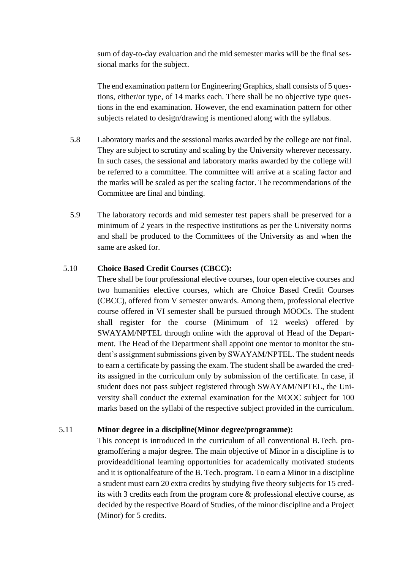sum of day-to-day evaluation and the mid semester marks will be the final sessional marks for the subject.

The end examination pattern for Engineering Graphics, shall consists of 5 questions, either/or type, of 14 marks each. There shall be no objective type questions in the end examination. However, the end examination pattern for other subjects related to design/drawing is mentioned along with the syllabus.

- 5.8 Laboratory marks and the sessional marks awarded by the college are not final. They are subject to scrutiny and scaling by the University wherever necessary. In such cases, the sessional and laboratory marks awarded by the college will be referred to a committee. The committee will arrive at a scaling factor and the marks will be scaled as per the scaling factor. The recommendations of the Committee are final and binding.
- 5.9 The laboratory records and mid semester test papers shall be preserved for a minimum of 2 years in the respective institutions as per the University norms and shall be produced to the Committees of the University as and when the same are asked for.

#### 5.10 **Choice Based Credit Courses (CBCC):**

There shall be four professional elective courses, four open elective courses and two humanities elective courses, which are Choice Based Credit Courses (CBCC), offered from V semester onwards. Among them, professional elective course offered in VI semester shall be pursued through MOOCs. The student shall register for the course (Minimum of 12 weeks) offered by SWAYAM/NPTEL through online with the approval of Head of the Department. The Head of the Department shall appoint one mentor to monitor the student's assignment submissions given by SWAYAM/NPTEL. The student needs to earn a certificate by passing the exam. The student shall be awarded the credits assigned in the curriculum only by submission of the certificate. In case, if student does not pass subject registered through SWAYAM/NPTEL, the University shall conduct the external examination for the MOOC subject for 100 marks based on the syllabi of the respective subject provided in the curriculum.

#### 5.11 **Minor degree in a discipline(Minor degree/programme):**

This concept is introduced in the curriculum of all conventional B.Tech. programoffering a major degree. The main objective of Minor in a discipline is to provideadditional learning opportunities for academically motivated students and it is optionalfeature of the B. Tech. program. To earn a Minor in a discipline a student must earn 20 extra credits by studying five theory subjects for 15 credits with 3 credits each from the program core & professional elective course, as decided by the respective Board of Studies, of the minor discipline and a Project (Minor) for 5 credits.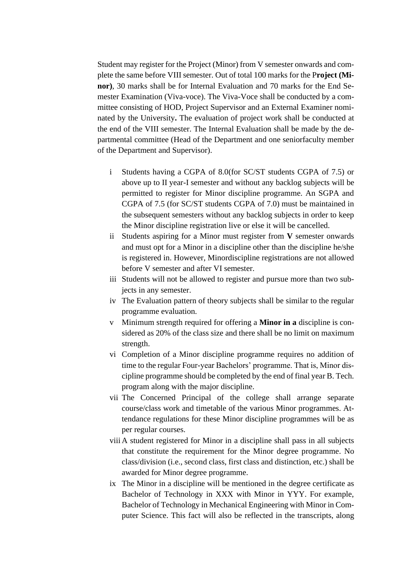Student may register for the Project (Minor) from V semester onwards and complete the same before VIII semester. Out of total 100 marks for the P**roject (Minor)**, 30 marks shall be for Internal Evaluation and 70 marks for the End Semester Examination (Viva-voce). The Viva-Voce shall be conducted by a committee consisting of HOD, Project Supervisor and an External Examiner nominated by the University**.** The evaluation of project work shall be conducted at the end of the VIII semester. The Internal Evaluation shall be made by the departmental committee (Head of the Department and one seniorfaculty member of the Department and Supervisor).

- i Students having a CGPA of 8.0(for SC/ST students CGPA of 7.5) or above up to II year-I semester and without any backlog subjects will be permitted to register for Minor discipline programme. An SGPA and CGPA of 7.5 (for SC/ST students CGPA of 7.0) must be maintained in the subsequent semesters without any backlog subjects in order to keep the Minor discipline registration live or else it will be cancelled.
- ii Students aspiring for a Minor must register from **V** semester onwards and must opt for a Minor in a discipline other than the discipline he/she is registered in. However, Minordiscipline registrations are not allowed before V semester and after VI semester.
- iii Students will not be allowed to register and pursue more than two subjects in any semester.
- iv The Evaluation pattern of theory subjects shall be similar to the regular programme evaluation.
- v Minimum strength required for offering a **Minor in a** discipline is considered as 20% of the class size and there shall be no limit on maximum strength.
- vi Completion of a Minor discipline programme requires no addition of time to the regular Four-year Bachelors' programme. That is, Minor discipline programme should be completed by the end of final year B. Tech. program along with the major discipline.
- vii The Concerned Principal of the college shall arrange separate course/class work and timetable of the various Minor programmes. Attendance regulations for these Minor discipline programmes will be as per regular courses.
- viii A student registered for Minor in a discipline shall pass in all subjects that constitute the requirement for the Minor degree programme. No class/division (i.e., second class, first class and distinction, etc.) shall be awarded for Minor degree programme.
- ix The Minor in a discipline will be mentioned in the degree certificate as Bachelor of Technology in XXX with Minor in YYY. For example, Bachelor of Technology in Mechanical Engineering with Minor in Computer Science. This fact will also be reflected in the transcripts, along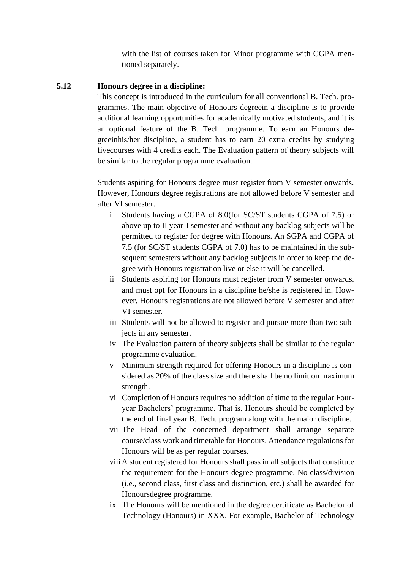with the list of courses taken for Minor programme with CGPA mentioned separately.

#### **5.12 Honours degree in a discipline:**

This concept is introduced in the curriculum for all conventional B. Tech. programmes. The main objective of Honours degreein a discipline is to provide additional learning opportunities for academically motivated students, and it is an optional feature of the B. Tech. programme. To earn an Honours degreeinhis/her discipline, a student has to earn 20 extra credits by studying fivecourses with 4 credits each. The Evaluation pattern of theory subjects will be similar to the regular programme evaluation.

Students aspiring for Honours degree must register from V semester onwards. However, Honours degree registrations are not allowed before V semester and after VI semester.

- i Students having a CGPA of 8.0(for SC/ST students CGPA of 7.5) or above up to II year-I semester and without any backlog subjects will be permitted to register for degree with Honours. An SGPA and CGPA of 7.5 (for SC/ST students CGPA of 7.0) has to be maintained in the subsequent semesters without any backlog subjects in order to keep the degree with Honours registration live or else it will be cancelled.
- ii Students aspiring for Honours must register from V semester onwards. and must opt for Honours in a discipline he/she is registered in. However, Honours registrations are not allowed before V semester and after VI semester.
- iii Students will not be allowed to register and pursue more than two subjects in any semester.
- iv The Evaluation pattern of theory subjects shall be similar to the regular programme evaluation.
- v Minimum strength required for offering Honours in a discipline is considered as 20% of the class size and there shall be no limit on maximum strength.
- vi Completion of Honours requires no addition of time to the regular Fouryear Bachelors' programme. That is, Honours should be completed by the end of final year B. Tech. program along with the major discipline.
- vii The Head of the concerned department shall arrange separate course/class work and timetable for Honours. Attendance regulations for Honours will be as per regular courses.
- viii A student registered for Honours shall pass in all subjects that constitute the requirement for the Honours degree programme. No class/division (i.e., second class, first class and distinction, etc.) shall be awarded for Honoursdegree programme.
- ix The Honours will be mentioned in the degree certificate as Bachelor of Technology (Honours) in XXX. For example, Bachelor of Technology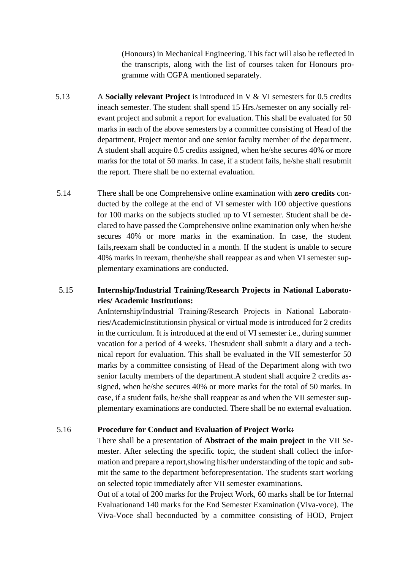(Honours) in Mechanical Engineering. This fact will also be reflected in the transcripts, along with the list of courses taken for Honours programme with CGPA mentioned separately.

- 5.13 A **Socially relevant Project** is introduced in V & VI semesters for 0.5 credits ineach semester. The student shall spend 15 Hrs./semester on any socially relevant project and submit a report for evaluation. This shall be evaluated for 50 marks in each of the above semesters by a committee consisting of Head of the department, Project mentor and one senior faculty member of the department. A student shall acquire 0.5 credits assigned, when he/she secures 40% or more marks for the total of 50 marks. In case, if a student fails, he/she shall resubmit the report. There shall be no external evaluation.
- 5.14 There shall be one Comprehensive online examination with **zero credits** conducted by the college at the end of VI semester with 100 objective questions for 100 marks on the subjects studied up to VI semester. Student shall be declared to have passed the Comprehensive online examination only when he/she secures 40% or more marks in the examination. In case, the student fails,reexam shall be conducted in a month. If the student is unable to secure 40% marks in reexam, thenhe/she shall reappear as and when VI semester supplementary examinations are conducted.

#### 5.15 **Internship/Industrial Training/Research Projects in National Laboratories/ Academic Institutions:**

AnInternship/Industrial Training/Research Projects in National Laboratories/AcademicInstitutionsin physical or virtual mode is introduced for 2 credits in the curriculum. It is introduced at the end of VI semester i.e., during summer vacation for a period of 4 weeks. Thestudent shall submit a diary and a technical report for evaluation. This shall be evaluated in the VII semesterfor 50 marks by a committee consisting of Head of the Department along with two senior faculty members of the department.A student shall acquire 2 credits assigned, when he/she secures 40% or more marks for the total of 50 marks. In case, if a student fails, he/she shall reappear as and when the VII semester supplementary examinations are conducted. There shall be no external evaluation.

#### 5.16 **Procedure for Conduct and Evaluation of Project Work:**

There shall be a presentation of **Abstract of the main project** in the VII Semester. After selecting the specific topic, the student shall collect the information and prepare a report,showing his/her understanding of the topic and submit the same to the department beforepresentation. The students start working on selected topic immediately after VII semester examinations.

Out of a total of 200 marks for the Project Work, 60 marks shall be for Internal Evaluationand 140 marks for the End Semester Examination (Viva-voce). The Viva-Voce shall beconducted by a committee consisting of HOD, Project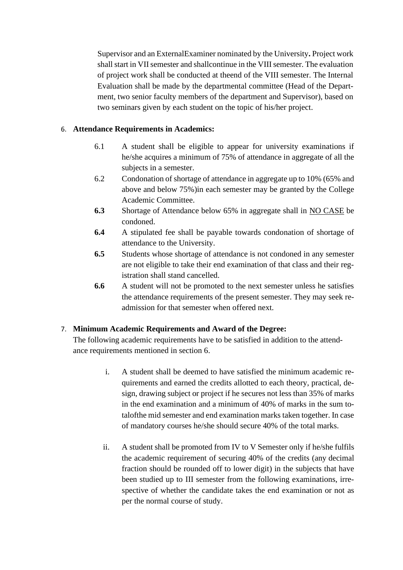Supervisor and an ExternalExaminer nominated by the University**.** Project work shall start in VII semester and shallcontinue in the VIII semester. The evaluation of project work shall be conducted at theend of the VIII semester. The Internal Evaluation shall be made by the departmental committee (Head of the Department, two senior faculty members of the department and Supervisor), based on two seminars given by each student on the topic of his/her project.

#### 6. **Attendance Requirements in Academics:**

- 6.1 A student shall be eligible to appear for university examinations if he/she acquires a minimum of 75% of attendance in aggregate of all the subjects in a semester.
- 6.2 Condonation of shortage of attendance in aggregate up to 10% (65% and above and below 75%)in each semester may be granted by the College Academic Committee.
- **6.3** Shortage of Attendance below 65% in aggregate shall in NO CASE be condoned.
- **6.4** A stipulated fee shall be payable towards condonation of shortage of attendance to the University.
- **6.5** Students whose shortage of attendance is not condoned in any semester are not eligible to take their end examination of that class and their registration shall stand cancelled.
- **6.6** A student will not be promoted to the next semester unless he satisfies the attendance requirements of the present semester. They may seek readmission for that semester when offered next.

#### 7. **Minimum Academic Requirements and Award of the Degree:**

The following academic requirements have to be satisfied in addition to the attendance requirements mentioned in section 6.

- i. A student shall be deemed to have satisfied the minimum academic requirements and earned the credits allotted to each theory, practical, design, drawing subject or project if he secures not less than 35% of marks in the end examination and a minimum of 40% of marks in the sum totalofthe mid semester and end examination marks taken together. In case of mandatory courses he/she should secure 40% of the total marks.
- ii. A student shall be promoted from IV to V Semester only if he/she fulfils the academic requirement of securing 40% of the credits (any decimal fraction should be rounded off to lower digit) in the subjects that have been studied up to III semester from the following examinations, irrespective of whether the candidate takes the end examination or not as per the normal course of study.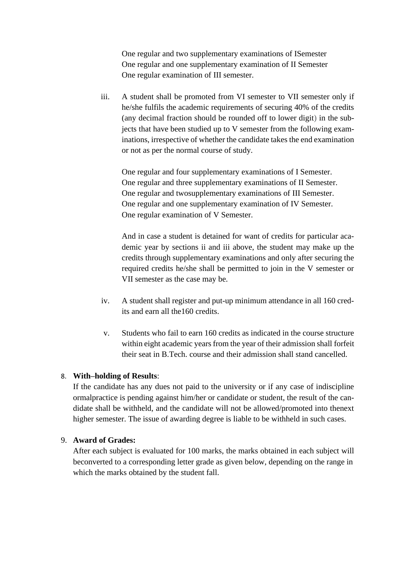One regular and two supplementary examinations of ISemester One regular and one supplementary examination of II Semester One regular examination of III semester.

iii. A student shall be promoted from VI semester to VII semester only if he/she fulfils the academic requirements of securing 40% of the credits (any decimal fraction should be rounded off to lower digit) in the subjects that have been studied up to V semester from the following examinations, irrespective of whether the candidate takes the end examination or not as per the normal course of study.

One regular and four supplementary examinations of I Semester. One regular and three supplementary examinations of II Semester. One regular and twosupplementary examinations of III Semester. One regular and one supplementary examination of IV Semester. One regular examination of V Semester.

And in case a student is detained for want of credits for particular academic year by sections ii and iii above, the student may make up the credits through supplementary examinations and only after securing the required credits he/she shall be permitted to join in the V semester or VII semester as the case may be.

- iv. A student shall register and put-up minimum attendance in all 160 credits and earn all the160 credits.
- v. Students who fail to earn 160 credits as indicated in the course structure within eight academic years from the year of their admission shall forfeit their seat in B.Tech. course and their admission shall stand cancelled.

#### 8. **With–holding of Results**:

If the candidate has any dues not paid to the university or if any case of indiscipline ormalpractice is pending against him/her or candidate or student, the result of the candidate shall be withheld, and the candidate will not be allowed/promoted into thenext higher semester. The issue of awarding degree is liable to be withheld in such cases.

#### 9. **Award of Grades:**

After each subject is evaluated for 100 marks, the marks obtained in each subject will beconverted to a corresponding letter grade as given below, depending on the range in which the marks obtained by the student fall.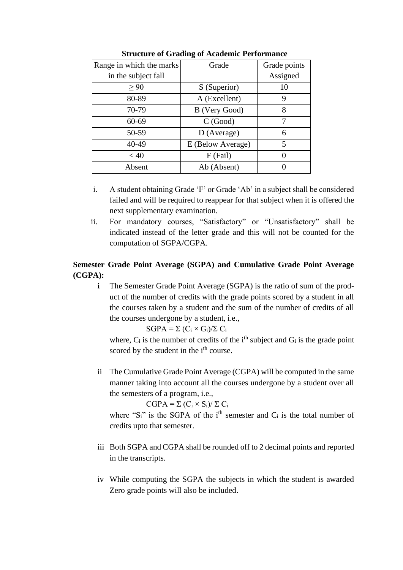| Range in which the marks | Grade             | Grade points |
|--------------------------|-------------------|--------------|
| in the subject fall      |                   | Assigned     |
| > 90                     | S (Superior)      | 10           |
| 80-89                    | A (Excellent)     |              |
| 70-79                    | B (Very Good)     | 8            |
| $60 - 69$                | C(Good)           |              |
| 50-59                    | D (Average)       | 6            |
| 40-49                    | E (Below Average) | 5            |
| < 40                     | F (Fail)          |              |
| Absent                   | Ab (Absent)       |              |

**Structure of Grading of Academic Performance**

- i. A student obtaining Grade 'F' or Grade 'Ab' in a subject shall be considered failed and will be required to reappear for that subject when it is offered the next supplementary examination.
- ii. For mandatory courses, "Satisfactory" or "Unsatisfactory" shall be indicated instead of the letter grade and this will not be counted for the computation of SGPA/CGPA.

#### **Semester Grade Point Average (SGPA) and Cumulative Grade Point Average (CGPA):**

**i** The Semester Grade Point Average (SGPA) is the ratio of sum of the product of the number of credits with the grade points scored by a student in all the courses taken by a student and the sum of the number of credits of all the courses undergone by a student, i.e.,

 $SGPA = \sum (C_i \times G_i)/\sum C_i$ 

where,  $C_i$  is the number of credits of the i<sup>th</sup> subject and  $G_i$  is the grade point scored by the student in the i<sup>th</sup> course.

ii The Cumulative Grade Point Average (CGPA) will be computed in the same manner taking into account all the courses undergone by a student over all the semesters of a program, i.e.,

 $CGPA = \sum (C_i \times S_i)/\sum C_i$ 

where " $S_i$ " is the SGPA of the i<sup>th</sup> semester and  $C_i$  is the total number of credits upto that semester.

- iii Both SGPA and CGPA shall be rounded off to 2 decimal points and reported in the transcripts.
- iv While computing the SGPA the subjects in which the student is awarded Zero grade points will also be included.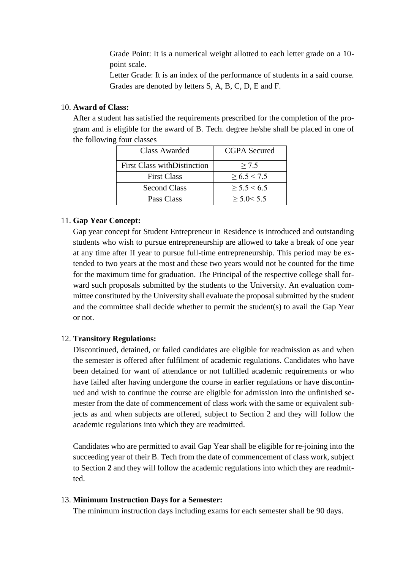Grade Point: It is a numerical weight allotted to each letter grade on a 10 point scale.

Letter Grade: It is an index of the performance of students in a said course. Grades are denoted by letters S, A, B, C, D, E and F.

#### 10. **Award of Class:**

After a student has satisfied the requirements prescribed for the completion of the program and is eligible for the award of B. Tech. degree he/she shall be placed in one of the following four classes

| Class Awarded                       | CGPA Secured     |
|-------------------------------------|------------------|
| <b>First Class with Distinction</b> | > 7.5            |
| <b>First Class</b>                  | $\geq 6.5 < 7.5$ |
| <b>Second Class</b>                 | > 5.5 < 6.5      |
| Pass Class                          | $>$ 5.0 $<$ 5.5  |

#### 11. **Gap Year Concept:**

Gap year concept for Student Entrepreneur in Residence is introduced and outstanding students who wish to pursue entrepreneurship are allowed to take a break of one year at any time after II year to pursue full-time entrepreneurship. This period may be extended to two years at the most and these two years would not be counted for the time for the maximum time for graduation. The Principal of the respective college shall forward such proposals submitted by the students to the University. An evaluation committee constituted by the University shall evaluate the proposal submitted by the student and the committee shall decide whether to permit the student(s) to avail the Gap Year or not.

#### 12. **Transitory Regulations:**

Discontinued, detained, or failed candidates are eligible for readmission as and when the semester is offered after fulfilment of academic regulations. Candidates who have been detained for want of attendance or not fulfilled academic requirements or who have failed after having undergone the course in earlier regulations or have discontinued and wish to continue the course are eligible for admission into the unfinished semester from the date of commencement of class work with the same or equivalent subjects as and when subjects are offered, subject to Section 2 and they will follow the academic regulations into which they are readmitted.

Candidates who are permitted to avail Gap Year shall be eligible for re-joining into the succeeding year of their B. Tech from the date of commencement of class work, subject to Section **2** and they will follow the academic regulations into which they are readmitted.

#### 13. **Minimum Instruction Days for a Semester:**

The minimum instruction days including exams for each semester shall be 90 days.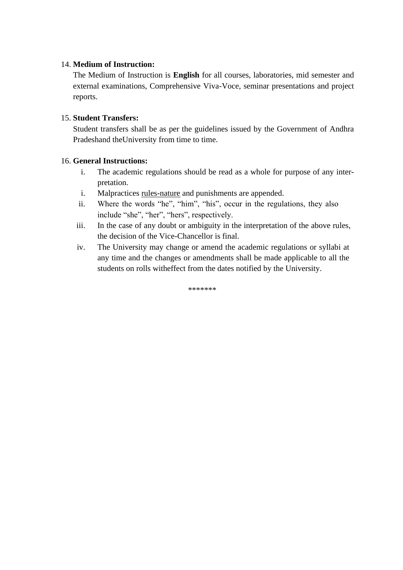#### 14. **Medium of Instruction:**

The Medium of Instruction is **English** for all courses, laboratories, mid semester and external examinations, Comprehensive Viva-Voce, seminar presentations and project reports.

#### 15. **Student Transfers:**

Student transfers shall be as per the guidelines issued by the Government of Andhra Pradeshand theUniversity from time to time.

#### 16. **General Instructions:**

- i. The academic regulations should be read as a whole for purpose of any interpretation.
- i. Malpractices rules-nature and punishments are appended.
- ii. Where the words "he", "him", "his", occur in the regulations, they also include "she", "her", "hers", respectively.
- iii. In the case of any doubt or ambiguity in the interpretation of the above rules, the decision of the Vice-Chancellor is final.
- iv. The University may change or amend the academic regulations or syllabi at any time and the changes or amendments shall be made applicable to all the students on rolls witheffect from the dates notified by the University.

\*\*\*\*\*\*\*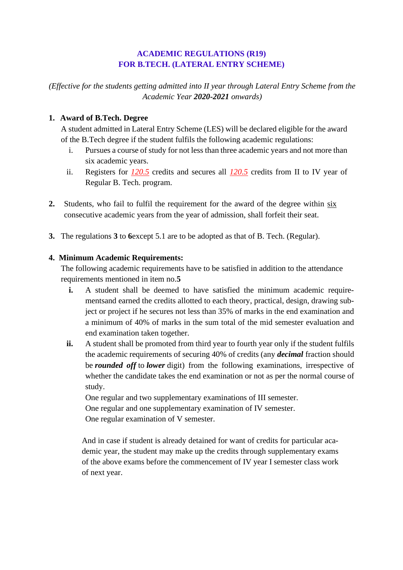#### **ACADEMIC REGULATIONS (R19) FOR B.TECH. (LATERAL ENTRY SCHEME)**

*(Effective for the students getting admitted into II year through Lateral Entry Scheme from the Academic Year 2020-2021 onwards)*

#### **1. Award of B.Tech. Degree**

A student admitted in Lateral Entry Scheme (LES) will be declared eligible for the award of the B.Tech degree if the student fulfils the following academic regulations:

- i. Pursues a course of study for not less than three academic years and not more than six academic years.
- ii. Registers for *120.5* credits and secures all *120.5* credits from II to IV year of Regular B. Tech. program.
- **2.** Students, who fail to fulfil the requirement for the award of the degree within six consecutive academic years from the year of admission, shall forfeit their seat.
- **3.** The regulations **3** to **6**except 5.1 are to be adopted as that of B. Tech. (Regular).

#### **4. Minimum Academic Requirements:**

The following academic requirements have to be satisfied in addition to the attendance requirements mentioned in item no.**5**

- **i.** A student shall be deemed to have satisfied the minimum academic requirementsand earned the credits allotted to each theory, practical, design, drawing subject or project if he secures not less than 35% of marks in the end examination and a minimum of 40% of marks in the sum total of the mid semester evaluation and end examination taken together.
- **ii.** A student shall be promoted from third year to fourth year only if the student fulfils the academic requirements of securing 40% of credits (any *decimal* fraction should be *rounded off* to *lower* digit) from the following examinations, irrespective of whether the candidate takes the end examination or not as per the normal course of study.

One regular and two supplementary examinations of III semester. One regular and one supplementary examination of IV semester. One regular examination of V semester.

And in case if student is already detained for want of credits for particular academic year, the student may make up the credits through supplementary exams of the above exams before the commencement of IV year I semester class work of next year.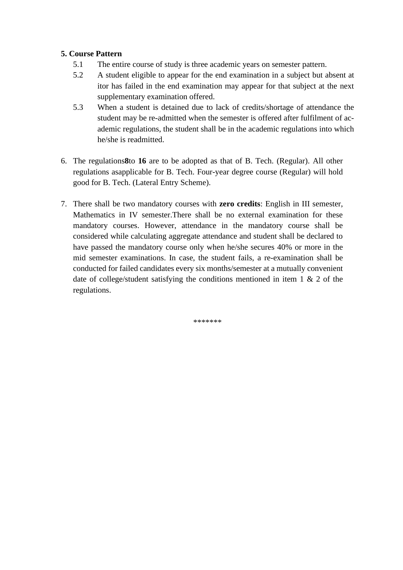#### **5. Course Pattern**

- 5.1 The entire course of study is three academic years on semester pattern.
- 5.2 A student eligible to appear for the end examination in a subject but absent at itor has failed in the end examination may appear for that subject at the next supplementary examination offered.
- 5.3 When a student is detained due to lack of credits/shortage of attendance the student may be re-admitted when the semester is offered after fulfilment of academic regulations, the student shall be in the academic regulations into which he/she is readmitted.
- 6. The regulations**8**to **16** are to be adopted as that of B. Tech. (Regular). All other regulations asapplicable for B. Tech. Four-year degree course (Regular) will hold good for B. Tech. (Lateral Entry Scheme).
- 7. There shall be two mandatory courses with **zero credits**: English in III semester, Mathematics in IV semester.There shall be no external examination for these mandatory courses. However, attendance in the mandatory course shall be considered while calculating aggregate attendance and student shall be declared to have passed the mandatory course only when he/she secures 40% or more in the mid semester examinations. In case, the student fails, a re-examination shall be conducted for failed candidates every six months/semester at a mutually convenient date of college/student satisfying the conditions mentioned in item  $1 \& 2$  of the regulations.

\*\*\*\*\*\*\*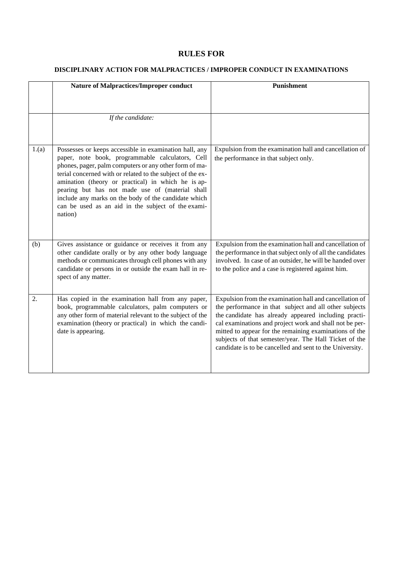#### **RULES FOR**

#### **DISCIPLINARY ACTION FOR MALPRACTICES / IMPROPER CONDUCT IN EXAMINATIONS**

|       | <b>Nature of Malpractices/Improper conduct</b>                                                                                                                                                                                                                                                                                                                                                                                                                       | Punishment                                                                                                                                                                                                                                                                                                                                                                                                           |
|-------|----------------------------------------------------------------------------------------------------------------------------------------------------------------------------------------------------------------------------------------------------------------------------------------------------------------------------------------------------------------------------------------------------------------------------------------------------------------------|----------------------------------------------------------------------------------------------------------------------------------------------------------------------------------------------------------------------------------------------------------------------------------------------------------------------------------------------------------------------------------------------------------------------|
|       |                                                                                                                                                                                                                                                                                                                                                                                                                                                                      |                                                                                                                                                                                                                                                                                                                                                                                                                      |
|       | If the candidate:                                                                                                                                                                                                                                                                                                                                                                                                                                                    |                                                                                                                                                                                                                                                                                                                                                                                                                      |
|       |                                                                                                                                                                                                                                                                                                                                                                                                                                                                      |                                                                                                                                                                                                                                                                                                                                                                                                                      |
|       |                                                                                                                                                                                                                                                                                                                                                                                                                                                                      |                                                                                                                                                                                                                                                                                                                                                                                                                      |
| 1.(a) | Possesses or keeps accessible in examination hall, any<br>paper, note book, programmable calculators, Cell<br>phones, pager, palm computers or any other form of ma-<br>terial concerned with or related to the subject of the ex-<br>amination (theory or practical) in which he is ap-<br>pearing but has not made use of (material shall<br>include any marks on the body of the candidate which<br>can be used as an aid in the subject of the exami-<br>nation) | Expulsion from the examination hall and cancellation of<br>the performance in that subject only.                                                                                                                                                                                                                                                                                                                     |
| (b)   | Gives assistance or guidance or receives it from any<br>other candidate orally or by any other body language<br>methods or communicates through cell phones with any<br>candidate or persons in or outside the exam hall in re-<br>spect of any matter.                                                                                                                                                                                                              | Expulsion from the examination hall and cancellation of<br>the performance in that subject only of all the candidates<br>involved. In case of an outsider, he will be handed over<br>to the police and a case is registered against him.                                                                                                                                                                             |
| 2.    | Has copied in the examination hall from any paper,<br>book, programmable calculators, palm computers or<br>any other form of material relevant to the subject of the<br>examination (theory or practical) in which the candi-<br>date is appearing.                                                                                                                                                                                                                  | Expulsion from the examination hall and cancellation of<br>the performance in that subject and all other subjects<br>the candidate has already appeared including practi-<br>cal examinations and project work and shall not be per-<br>mitted to appear for the remaining examinations of the<br>subjects of that semester/year. The Hall Ticket of the<br>candidate is to be cancelled and sent to the University. |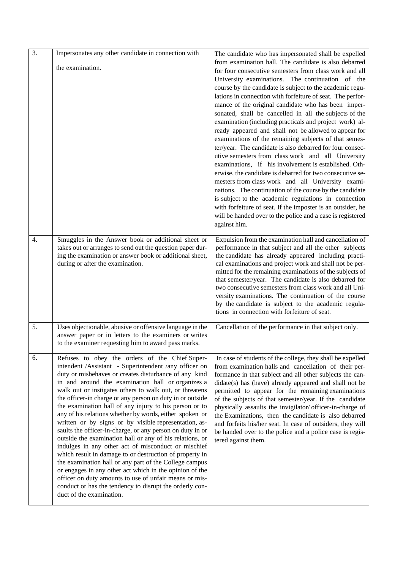| $\overline{3}$ . | Impersonates any other candidate in connection with                                                                                                                                                                                                                                                                                                                                                                                                                                                                                                                                                                                                                                                                                                                                                                                                                                                                                                                                                                                          | The candidate who has impersonated shall be expelled<br>from examination hall. The candidate is also debarred                                                                                                                                                                                                                                                                                                                                                                                                                                                                                                                                                                                                                                                                                                                                                                                                                                                                                                                                                                                     |
|------------------|----------------------------------------------------------------------------------------------------------------------------------------------------------------------------------------------------------------------------------------------------------------------------------------------------------------------------------------------------------------------------------------------------------------------------------------------------------------------------------------------------------------------------------------------------------------------------------------------------------------------------------------------------------------------------------------------------------------------------------------------------------------------------------------------------------------------------------------------------------------------------------------------------------------------------------------------------------------------------------------------------------------------------------------------|---------------------------------------------------------------------------------------------------------------------------------------------------------------------------------------------------------------------------------------------------------------------------------------------------------------------------------------------------------------------------------------------------------------------------------------------------------------------------------------------------------------------------------------------------------------------------------------------------------------------------------------------------------------------------------------------------------------------------------------------------------------------------------------------------------------------------------------------------------------------------------------------------------------------------------------------------------------------------------------------------------------------------------------------------------------------------------------------------|
|                  | the examination.                                                                                                                                                                                                                                                                                                                                                                                                                                                                                                                                                                                                                                                                                                                                                                                                                                                                                                                                                                                                                             | for four consecutive semesters from class work and all<br>University examinations. The continuation of the<br>course by the candidate is subject to the academic regu-<br>lations in connection with forfeiture of seat. The perfor-<br>mance of the original candidate who has been imper-<br>sonated, shall be cancelled in all the subjects of the<br>examination (including practicals and project work) al-<br>ready appeared and shall not be allowed to appear for<br>examinations of the remaining subjects of that semes-<br>ter/year. The candidate is also debarred for four consec-<br>utive semesters from class work and all University<br>examinations, if his involvement is established. Oth-<br>erwise, the candidate is debarred for two consecutive se-<br>mesters from class work and all University exami-<br>nations. The continuation of the course by the candidate<br>is subject to the academic regulations in connection<br>with forfeiture of seat. If the imposter is an outsider, he<br>will be handed over to the police and a case is registered<br>against him. |
| $\overline{4}$ . | Smuggles in the Answer book or additional sheet or<br>takes out or arranges to send out the question paper dur-<br>ing the examination or answer book or additional sheet,<br>during or after the examination.                                                                                                                                                                                                                                                                                                                                                                                                                                                                                                                                                                                                                                                                                                                                                                                                                               | Expulsion from the examination hall and cancellation of<br>performance in that subject and all the other subjects<br>the candidate has already appeared including practi-<br>cal examinations and project work and shall not be per-<br>mitted for the remaining examinations of the subjects of<br>that semester/year. The candidate is also debarred for<br>two consecutive semesters from class work and all Uni-<br>versity examinations. The continuation of the course<br>by the candidate is subject to the academic regula-<br>tions in connection with forfeiture of seat.                                                                                                                                                                                                                                                                                                                                                                                                                                                                                                               |
| 5.               | Uses objectionable, abusive or offensive language in the<br>answer paper or in letters to the examiners or writes<br>to the examiner requesting him to award pass marks.                                                                                                                                                                                                                                                                                                                                                                                                                                                                                                                                                                                                                                                                                                                                                                                                                                                                     | Cancellation of the performance in that subject only.                                                                                                                                                                                                                                                                                                                                                                                                                                                                                                                                                                                                                                                                                                                                                                                                                                                                                                                                                                                                                                             |
| 6.               | Refuses to obey the orders of the Chief Super-<br>intendent /Assistant - Superintendent /any officer on<br>duty or misbehaves or creates disturbance of any kind<br>in and around the examination hall or organizes a<br>walk out or instigates others to walk out, or threatens<br>the officer-in charge or any person on duty in or outside<br>the examination hall of any injury to his person or to<br>any of his relations whether by words, either spoken or<br>written or by signs or by visible representation, as-<br>saults the officer-in-charge, or any person on duty in or<br>outside the examination hall or any of his relations, or<br>indulges in any other act of misconduct or mischief<br>which result in damage to or destruction of property in<br>the examination hall or any part of the College campus<br>or engages in any other act which in the opinion of the<br>officer on duty amounts to use of unfair means or mis-<br>conduct or has the tendency to disrupt the orderly con-<br>duct of the examination. | In case of students of the college, they shall be expelled<br>from examination halls and cancellation of their per-<br>formance in that subject and all other subjects the can-<br>didate(s) has (have) already appeared and shall not be<br>permitted to appear for the remaining examinations<br>of the subjects of that semester/year. If the candidate<br>physically assaults the invigilator/officer-in-charge of<br>the Examinations, then the candidate is also debarred<br>and forfeits his/her seat. In case of outsiders, they will<br>be handed over to the police and a police case is regis-<br>tered against them.                                                                                                                                                                                                                                                                                                                                                                                                                                                                  |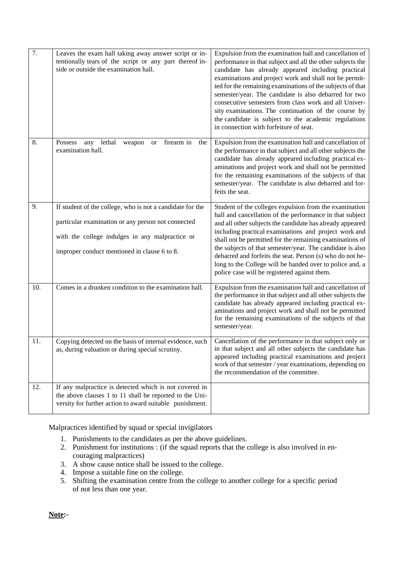| $\overline{7}$ . | Leaves the exam hall taking away answer script or in-<br>tentionally tears of the script or any part thereof in-<br>side or outside the examination hall.                                                          | Expulsion from the examination hall and cancellation of<br>performance in that subject and all the other subjects the<br>candidate has already appeared including practical<br>examinations and project work and shall not be permit-<br>ted for the remaining examinations of the subjects of that<br>semester/year. The candidate is also debarred for two<br>consecutive semesters from class work and all Univer-<br>sity examinations. The continuation of the course by<br>the candidate is subject to the academic regulations<br>in connection with forfeiture of seat. |
|------------------|--------------------------------------------------------------------------------------------------------------------------------------------------------------------------------------------------------------------|---------------------------------------------------------------------------------------------------------------------------------------------------------------------------------------------------------------------------------------------------------------------------------------------------------------------------------------------------------------------------------------------------------------------------------------------------------------------------------------------------------------------------------------------------------------------------------|
| 8.               | lethal<br>firearm in<br>Possess<br>any<br>the<br>weapon<br><b>or</b><br>examination hall.                                                                                                                          | Expulsion from the examination hall and cancellation of<br>the performance in that subject and all other subjects the<br>candidate has already appeared including practical ex-<br>aminations and project work and shall not be permitted<br>for the remaining examinations of the subjects of that<br>semester/year. The candidate is also debarred and for-<br>feits the seat.                                                                                                                                                                                                |
| 9.               | If student of the college, who is not a candidate for the<br>particular examination or any person not connected<br>with the college indulges in any malpractice or<br>improper conduct mentioned in clause 6 to 8. | Student of the colleges expulsion from the examination<br>hall and cancellation of the performance in that subject<br>and all other subjects the candidate has already appeared<br>including practical examinations and project work and<br>shall not be permitted for the remaining examinations of<br>the subjects of that semester/year. The candidate is also<br>debarred and forfeits the seat. Person (s) who do not be-<br>long to the College will be handed over to police and, a<br>police case will be registered against them.                                      |
| 10.              | Comes in a drunken condition to the examination hall.                                                                                                                                                              | Expulsion from the examination hall and cancellation of<br>the performance in that subject and all other subjects the<br>candidate has already appeared including practical ex-<br>aminations and project work and shall not be permitted<br>for the remaining examinations of the subjects of that<br>semester/year.                                                                                                                                                                                                                                                           |
| 11.              | Copying detected on the basis of internal evidence, such<br>as, during valuation or during special scrutiny.                                                                                                       | Cancellation of the performance in that subject only or<br>in that subject and all other subjects the candidate has<br>appeared including practical examinations and project<br>work of that semester / year examinations, depending on<br>the recommendation of the committee.                                                                                                                                                                                                                                                                                                 |
| 12.              | If any malpractice is detected which is not covered in<br>the above clauses 1 to 11 shall be reported to the Uni-<br>versity for further action to award suitable punishment.                                      |                                                                                                                                                                                                                                                                                                                                                                                                                                                                                                                                                                                 |

Malpractices identified by squad or special invigilators

- 1. Punishments to the candidates as per the above guidelines.
- 2. Punishment for institutions : (if the squad reports that the college is also involved in encouraging malpractices)
- 3. A show cause notice shall be issued to the college.
- 4. Impose a suitable fine on the college.
- 5. Shifting the examination centre from the college to another college for a specific period of not less than one year.

**Note:-**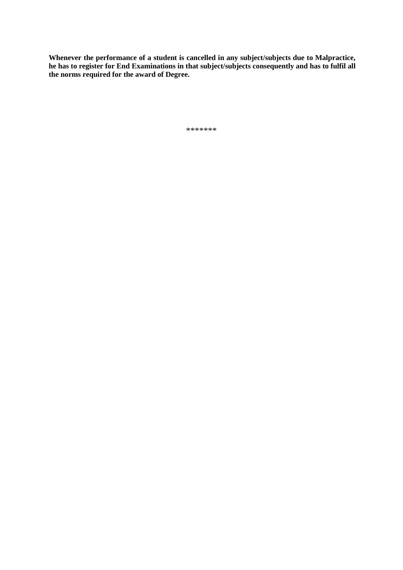**Whenever the performance of a student is cancelled in any subject/subjects due to Malpractice, he has to register for End Examinations in that subject/subjects consequently and has to fulfil all the norms required for the award of Degree.**

\*\*\*\*\*\*\*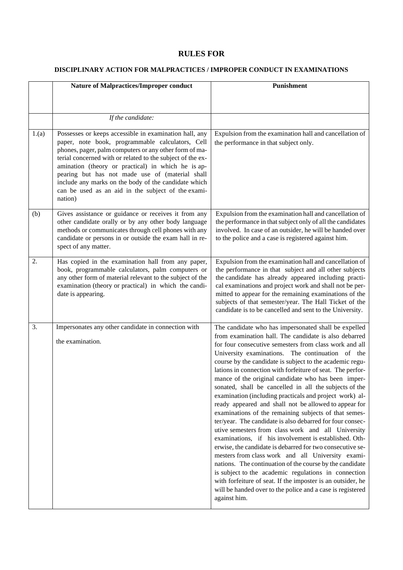#### **RULES FOR**

#### **DISCIPLINARY ACTION FOR MALPRACTICES / IMPROPER CONDUCT IN EXAMINATIONS**

|       | <b>Nature of Malpractices/Improper conduct</b>                                                                                                                                                                                                                                                                                                                                                                                                                       | Punishment                                                                                                                                                                                                                                                                                                                                                                                                                                                                                                                                                                                                                                                                                                                                                                                                                                                                                                                                                                                                                                                                                                                                                                                                         |
|-------|----------------------------------------------------------------------------------------------------------------------------------------------------------------------------------------------------------------------------------------------------------------------------------------------------------------------------------------------------------------------------------------------------------------------------------------------------------------------|--------------------------------------------------------------------------------------------------------------------------------------------------------------------------------------------------------------------------------------------------------------------------------------------------------------------------------------------------------------------------------------------------------------------------------------------------------------------------------------------------------------------------------------------------------------------------------------------------------------------------------------------------------------------------------------------------------------------------------------------------------------------------------------------------------------------------------------------------------------------------------------------------------------------------------------------------------------------------------------------------------------------------------------------------------------------------------------------------------------------------------------------------------------------------------------------------------------------|
|       |                                                                                                                                                                                                                                                                                                                                                                                                                                                                      |                                                                                                                                                                                                                                                                                                                                                                                                                                                                                                                                                                                                                                                                                                                                                                                                                                                                                                                                                                                                                                                                                                                                                                                                                    |
|       | If the candidate:                                                                                                                                                                                                                                                                                                                                                                                                                                                    |                                                                                                                                                                                                                                                                                                                                                                                                                                                                                                                                                                                                                                                                                                                                                                                                                                                                                                                                                                                                                                                                                                                                                                                                                    |
| 1.(a) | Possesses or keeps accessible in examination hall, any<br>paper, note book, programmable calculators, Cell<br>phones, pager, palm computers or any other form of ma-<br>terial concerned with or related to the subject of the ex-<br>amination (theory or practical) in which he is ap-<br>pearing but has not made use of (material shall<br>include any marks on the body of the candidate which<br>can be used as an aid in the subject of the exami-<br>nation) | Expulsion from the examination hall and cancellation of<br>the performance in that subject only.                                                                                                                                                                                                                                                                                                                                                                                                                                                                                                                                                                                                                                                                                                                                                                                                                                                                                                                                                                                                                                                                                                                   |
| (b)   | Gives assistance or guidance or receives it from any<br>other candidate orally or by any other body language<br>methods or communicates through cell phones with any<br>candidate or persons in or outside the exam hall in re-<br>spect of any matter.                                                                                                                                                                                                              | Expulsion from the examination hall and cancellation of<br>the performance in that subject only of all the candidates<br>involved. In case of an outsider, he will be handed over<br>to the police and a case is registered against him.                                                                                                                                                                                                                                                                                                                                                                                                                                                                                                                                                                                                                                                                                                                                                                                                                                                                                                                                                                           |
| 2.    | Has copied in the examination hall from any paper,<br>book, programmable calculators, palm computers or<br>any other form of material relevant to the subject of the<br>examination (theory or practical) in which the candi-<br>date is appearing.                                                                                                                                                                                                                  | Expulsion from the examination hall and cancellation of<br>the performance in that subject and all other subjects<br>the candidate has already appeared including practi-<br>cal examinations and project work and shall not be per-<br>mitted to appear for the remaining examinations of the<br>subjects of that semester/year. The Hall Ticket of the<br>candidate is to be cancelled and sent to the University.                                                                                                                                                                                                                                                                                                                                                                                                                                                                                                                                                                                                                                                                                                                                                                                               |
| 3.    | Impersonates any other candidate in connection with<br>the examination.                                                                                                                                                                                                                                                                                                                                                                                              | The candidate who has impersonated shall be expelled<br>from examination hall. The candidate is also debarred<br>for four consecutive semesters from class work and all<br>University examinations. The continuation of the<br>course by the candidate is subject to the academic regu-<br>lations in connection with forfeiture of seat. The perfor-<br>mance of the original candidate who has been imper-<br>sonated, shall be cancelled in all the subjects of the<br>examination (including practicals and project work) al-<br>ready appeared and shall not be allowed to appear for<br>examinations of the remaining subjects of that semes-<br>ter/year. The candidate is also debarred for four consec-<br>utive semesters from class work and all University<br>examinations, if his involvement is established. Oth-<br>erwise, the candidate is debarred for two consecutive se-<br>mesters from class work and all University exami-<br>nations. The continuation of the course by the candidate<br>is subject to the academic regulations in connection<br>with forfeiture of seat. If the imposter is an outsider, he<br>will be handed over to the police and a case is registered<br>against him. |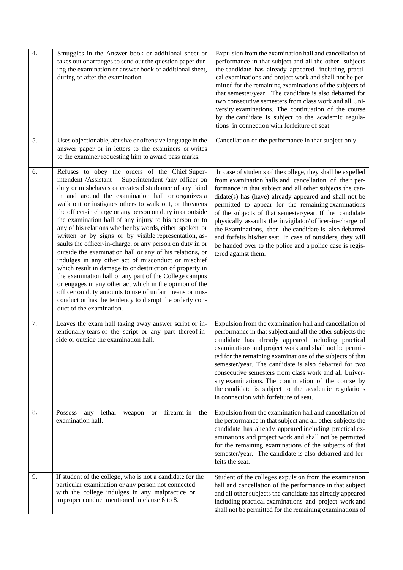| $\overline{4}$ . | Smuggles in the Answer book or additional sheet or<br>takes out or arranges to send out the question paper dur-<br>ing the examination or answer book or additional sheet,<br>during or after the examination.                                                                                                                                                                                                                                                                                                                                                                                                                                                                                                                                                                                                                                                                                                                                                                                                                               | Expulsion from the examination hall and cancellation of<br>performance in that subject and all the other subjects<br>the candidate has already appeared including practi-<br>cal examinations and project work and shall not be per-<br>mitted for the remaining examinations of the subjects of<br>that semester/year. The candidate is also debarred for<br>two consecutive semesters from class work and all Uni-<br>versity examinations. The continuation of the course<br>by the candidate is subject to the academic regula-<br>tions in connection with forfeiture of seat.                                              |
|------------------|----------------------------------------------------------------------------------------------------------------------------------------------------------------------------------------------------------------------------------------------------------------------------------------------------------------------------------------------------------------------------------------------------------------------------------------------------------------------------------------------------------------------------------------------------------------------------------------------------------------------------------------------------------------------------------------------------------------------------------------------------------------------------------------------------------------------------------------------------------------------------------------------------------------------------------------------------------------------------------------------------------------------------------------------|----------------------------------------------------------------------------------------------------------------------------------------------------------------------------------------------------------------------------------------------------------------------------------------------------------------------------------------------------------------------------------------------------------------------------------------------------------------------------------------------------------------------------------------------------------------------------------------------------------------------------------|
| 5.               | Uses objectionable, abusive or offensive language in the<br>answer paper or in letters to the examiners or writes<br>to the examiner requesting him to award pass marks.                                                                                                                                                                                                                                                                                                                                                                                                                                                                                                                                                                                                                                                                                                                                                                                                                                                                     | Cancellation of the performance in that subject only.                                                                                                                                                                                                                                                                                                                                                                                                                                                                                                                                                                            |
| 6.               | Refuses to obey the orders of the Chief Super-<br>intendent /Assistant - Superintendent /any officer on<br>duty or misbehaves or creates disturbance of any kind<br>in and around the examination hall or organizes a<br>walk out or instigates others to walk out, or threatens<br>the officer-in charge or any person on duty in or outside<br>the examination hall of any injury to his person or to<br>any of his relations whether by words, either spoken or<br>written or by signs or by visible representation, as-<br>saults the officer-in-charge, or any person on duty in or<br>outside the examination hall or any of his relations, or<br>indulges in any other act of misconduct or mischief<br>which result in damage to or destruction of property in<br>the examination hall or any part of the College campus<br>or engages in any other act which in the opinion of the<br>officer on duty amounts to use of unfair means or mis-<br>conduct or has the tendency to disrupt the orderly con-<br>duct of the examination. | In case of students of the college, they shall be expelled<br>from examination halls and cancellation of their per-<br>formance in that subject and all other subjects the can-<br>didate(s) has (have) already appeared and shall not be<br>permitted to appear for the remaining examinations<br>of the subjects of that semester/year. If the candidate<br>physically assaults the invigilator/officer-in-charge of<br>the Examinations, then the candidate is also debarred<br>and forfeits his/her seat. In case of outsiders, they will<br>be handed over to the police and a police case is regis-<br>tered against them. |
| 7.               | Leaves the exam hall taking away answer script or in-<br>tentionally tears of the script or any part thereof in-<br>side or outside the examination hall.                                                                                                                                                                                                                                                                                                                                                                                                                                                                                                                                                                                                                                                                                                                                                                                                                                                                                    | Expulsion from the examination hall and cancellation of<br>performance in that subject and all the other subjects the<br>candidate has already appeared including practical<br>examinations and project work and shall not be permit-<br>ted for the remaining examinations of the subjects of that<br>semester/year. The candidate is also debarred for two<br>consecutive semesters from class work and all Univer-<br>sity examinations. The continuation of the course by<br>the candidate is subject to the academic regulations<br>in connection with forfeiture of seat.                                                  |
| 8.               | firearm in<br>lethal<br>Possess<br>any<br>weapon<br>the<br><b>or</b><br>examination hall.                                                                                                                                                                                                                                                                                                                                                                                                                                                                                                                                                                                                                                                                                                                                                                                                                                                                                                                                                    | Expulsion from the examination hall and cancellation of<br>the performance in that subject and all other subjects the<br>candidate has already appeared including practical ex-<br>aminations and project work and shall not be permitted<br>for the remaining examinations of the subjects of that<br>semester/year. The candidate is also debarred and for-<br>feits the seat.                                                                                                                                                                                                                                                 |
| 9.               | If student of the college, who is not a candidate for the<br>particular examination or any person not connected<br>with the college indulges in any malpractice or<br>improper conduct mentioned in clause 6 to 8.                                                                                                                                                                                                                                                                                                                                                                                                                                                                                                                                                                                                                                                                                                                                                                                                                           | Student of the colleges expulsion from the examination<br>hall and cancellation of the performance in that subject<br>and all other subjects the candidate has already appeared<br>including practical examinations and project work and<br>shall not be permitted for the remaining examinations of                                                                                                                                                                                                                                                                                                                             |